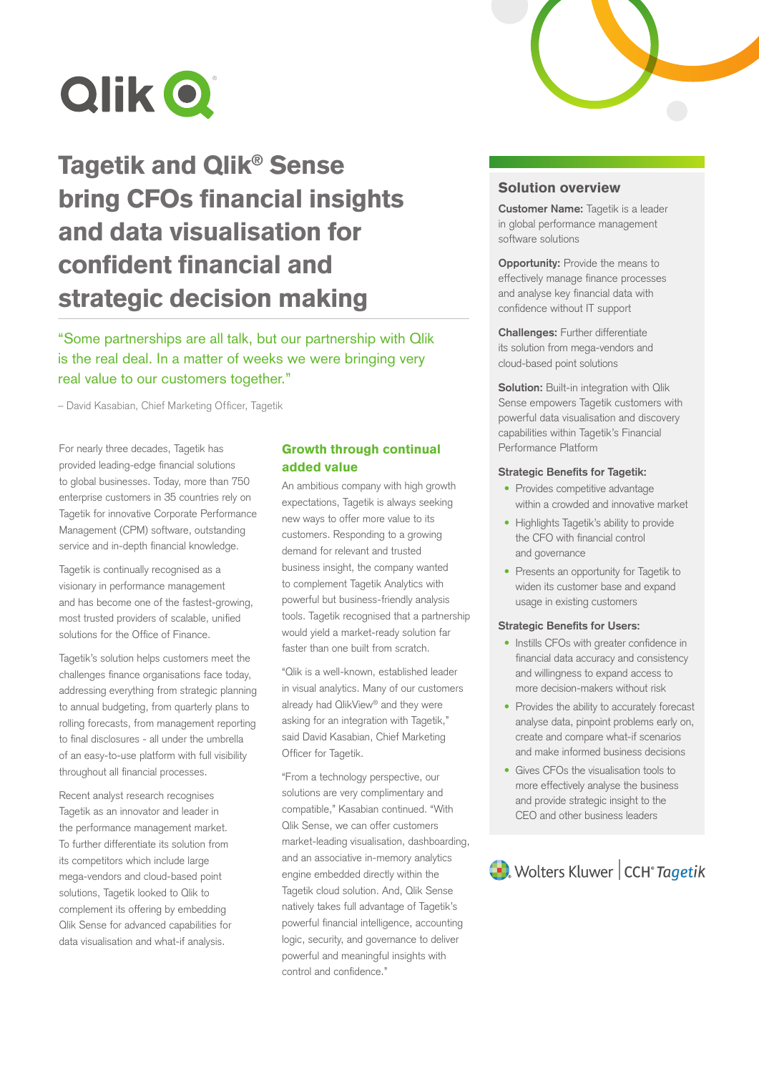

# Tagetik and Qlik® Sense bring CFOs financial insights and data visualisation for confident financial and strategic decision making

"Some partnerships are all talk, but our partnership with Qlik is the real deal. In a matter of weeks we were bringing very real value to our customers together."

– David Kasabian, Chief Marketing Officer, Tagetik

For nearly three decades, Tagetik has provided leading-edge financial solutions to global businesses. Today, more than 750 enterprise customers in 35 countries rely on Tagetik for innovative Corporate Performance Management (CPM) software, outstanding service and in-depth financial knowledge.

Tagetik is continually recognised as a visionary in performance management and has become one of the fastest-growing, most trusted providers of scalable, unified solutions for the Office of Finance.

Tagetik's solution helps customers meet the challenges finance organisations face today, addressing everything from strategic planning to annual budgeting, from quarterly plans to rolling forecasts, from management reporting to final disclosures - all under the umbrella of an easy-to-use platform with full visibility throughout all financial processes.

Recent analyst research recognises Tagetik as an innovator and leader in the performance management market. To further differentiate its solution from its competitors which include large mega-vendors and cloud-based point solutions, Tagetik looked to Qlik to complement its offering by embedding Qlik Sense for advanced capabilities for data visualisation and what-if analysis.

### Growth through continual added value

An ambitious company with high growth expectations, Tagetik is always seeking new ways to offer more value to its customers. Responding to a growing demand for relevant and trusted business insight, the company wanted to complement Tagetik Analytics with powerful but business-friendly analysis tools. Tagetik recognised that a partnership would yield a market-ready solution far faster than one built from scratch.

"Qlik is a well-known, established leader in visual analytics. Many of our customers already had QlikView® and they were asking for an integration with Tagetik," said David Kasabian, Chief Marketing Officer for Tagetik.

"From a technology perspective, our solutions are very complimentary and compatible," Kasabian continued. "With Qlik Sense, we can offer customers market-leading visualisation, dashboarding, and an associative in-memory analytics engine embedded directly within the Tagetik cloud solution. And, Qlik Sense natively takes full advantage of Tagetik's powerful financial intelligence, accounting logic, security, and governance to deliver powerful and meaningful insights with control and confidence."



### Solution overview

**Customer Name:** Tagetik is a leader in global performance management software solutions

**Opportunity:** Provide the means to effectively manage finance processes and analyse key financial data with confidence without IT support

**Challenges:** Further differentiate its solution from mega-vendors and cloud-based point solutions

**Solution:** Built-in integration with Qlik Sense empowers Tagetik customers with powerful data visualisation and discovery capabilities within Tagetik's Financial Performance Platform

#### **Strategic Benefits for Tagetik:**

- Provides competitive advantage within a crowded and innovative market
- Highlights Tagetik's ability to provide the CFO with financial control and governance
- Presents an opportunity for Tagetik to widen its customer base and expand usage in existing customers

#### **Strategic Benefits for Users:**

- Instills CFOs with greater confidence in financial data accuracy and consistency and willingness to expand access to more decision-makers without risk
- Provides the ability to accurately forecast analyse data, pinpoint problems early on, create and compare what-if scenarios and make informed business decisions
- Gives CFOs the visualisation tools to more effectively analyse the business and provide strategic insight to the CEO and other business leaders